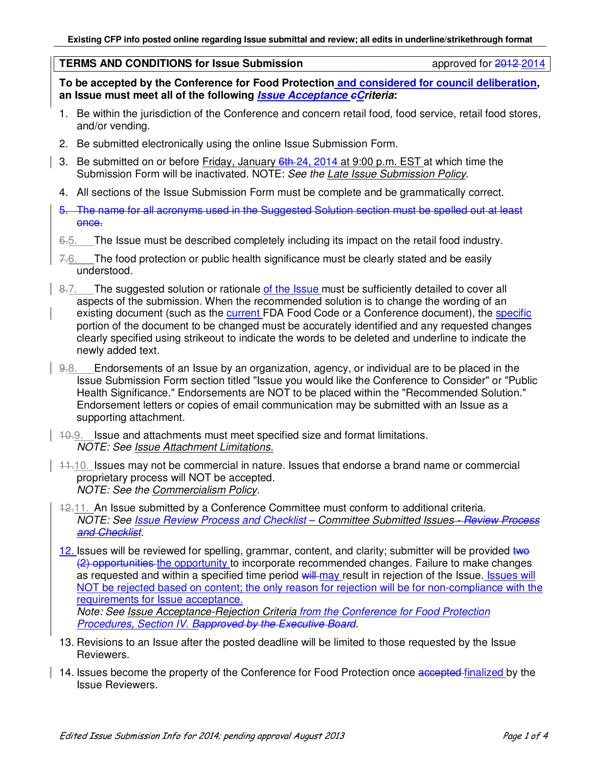#### **TERMS AND CONDITIONS for Issue Submission approved for 2012-2014**

**To be accepted by the Conference for Food Protection and considered for council deliberation, an Issue must meet all of the following Issue Acceptance cCriteria:** 

- 1. Be within the jurisdiction of the Conference and concern retail food, food service, retail food stores, and/or vending.
- 2. Be submitted electronically using the online Issue Submission Form.
- 3. Be submitted on or before Friday, January 6th 24, 2014 at 9:00 p.m. EST at which time the Submission Form will be inactivated. NOTE: *See the Late Issue Submission Policy*.
- 4. All sections of the Issue Submission Form must be complete and be grammatically correct.
- 5. The name for all acronyms used in the Suggested Solution section must be spelled out at least once.
- 6.5. The Issue must be described completely including its impact on the retail food industry.
- $7.6.$  The food protection or public health significance must be clearly stated and be easily understood.
- 8.7. The suggested solution or rationale of the Issue must be sufficiently detailed to cover all aspects of the submission. When the recommended solution is to change the wording of an existing document (such as the current FDA Food Code or a Conference document), the specific portion of the document to be changed must be accurately identified and any requested changes clearly specified using strikeout to indicate the words to be deleted and underline to indicate the newly added text.
- 9.8. Endorsements of an Issue by an organization, agency, or individual are to be placed in the Issue Submission Form section titled "Issue you would like the Conference to Consider" or "Public Health Significance." Endorsements are NOT to be placed within the "Recommended Solution." Endorsement letters or copies of email communication may be submitted with an Issue as a supporting attachment.
- 10.9. Issue and attachments must meet specified size and format limitations. *NOTE: See Issue Attachment Limitations.*
- $11.10$ . Issues may not be commercial in nature. Issues that endorse a brand name or commercial proprietary process will NOT be accepted. *NOTE: See the Commercialism Policy.*
	- 12.11. An Issue submitted by a Conference Committee must conform to additional criteria. *NOTE: See Issue Review Process and Checklist – Committee Submitted Issues - Review Process and Checklist.*
	- 12. Issues will be reviewed for spelling, grammar, content, and clarity; submitter will be provided two (2) opportunities the opportunity to incorporate recommended changes. Failure to make changes as requested and within a specified time period will may result in rejection of the Issue. Issues will NOT be rejected based on content; the only reason for rejection will be for non-compliance with the requirements for Issue acceptance. *Note: See Issue Acceptance-Rejection Criteria from the Conference for Food Protection Procedures, Section IV. Bapproved by the Executive Board.*
	- 13. Revisions to an Issue after the posted deadline will be limited to those requested by the Issue Reviewers.
	- 14. Issues become the property of the Conference for Food Protection once accepted finalized by the Issue Reviewers.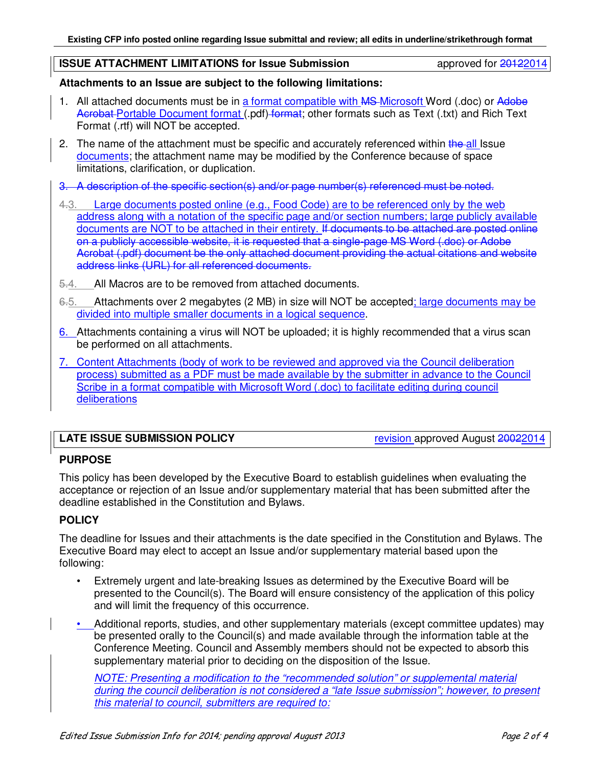#### **ISSUE ATTACHMENT LIMITATIONS for Issue Submission approved for 20122014**

## **Attachments to an Issue are subject to the following limitations:**

- 1. All attached documents must be in a format compatible with MS-Microsoft Word (.doc) or Adobe Acrobat Portable Document format (.pdf) format; other formats such as Text (.txt) and Rich Text Format (.rtf) will NOT be accepted.
- 2. The name of the attachment must be specific and accurately referenced within the all Issue documents; the attachment name may be modified by the Conference because of space limitations, clarification, or duplication.
- 3. A description of the specific section(s) and/or page number(s) referenced must be noted.
- 4.3. Large documents posted online (e.g., Food Code) are to be referenced only by the web address along with a notation of the specific page and/or section numbers; large publicly available documents are NOT to be attached in their entirety. If documents to be attached are posted online on a publicly accessible website, it is requested that a single-page MS Word (.doc) or Adobe Acrobat (.pdf) document be the only attached document providing the actual citations and website address links (URL) for all referenced documents.
- 5.4. All Macros are to be removed from attached documents.
- 6.5. Attachments over 2 megabytes (2 MB) in size will NOT be accepted; large documents may be divided into multiple smaller documents in a logical sequence.
- 6. Attachments containing a virus will NOT be uploaded; it is highly recommended that a virus scan be performed on all attachments.
- 7. Content Attachments (body of work to be reviewed and approved via the Council deliberation process) submitted as a PDF must be made available by the submitter in advance to the Council Scribe in a format compatible with Microsoft Word (.doc) to facilitate editing during council deliberations

# **LATE ISSUE SUBMISSION POLICY** revision approved August 20022014

# **PURPOSE**

This policy has been developed by the Executive Board to establish guidelines when evaluating the acceptance or rejection of an Issue and/or supplementary material that has been submitted after the deadline established in the Constitution and Bylaws.

#### **POLICY**

The deadline for Issues and their attachments is the date specified in the Constitution and Bylaws. The Executive Board may elect to accept an Issue and/or supplementary material based upon the following:

- Extremely urgent and late-breaking Issues as determined by the Executive Board will be presented to the Council(s). The Board will ensure consistency of the application of this policy and will limit the frequency of this occurrence.
- Additional reports, studies, and other supplementary materials (except committee updates) may be presented orally to the Council(s) and made available through the information table at the Conference Meeting. Council and Assembly members should not be expected to absorb this supplementary material prior to deciding on the disposition of the Issue.

*NOTE: Presenting a modification to the "recommended solution" or supplemental material during the council deliberation is not considered a "late Issue submission"; however, to present this material to council, submitters are required to:*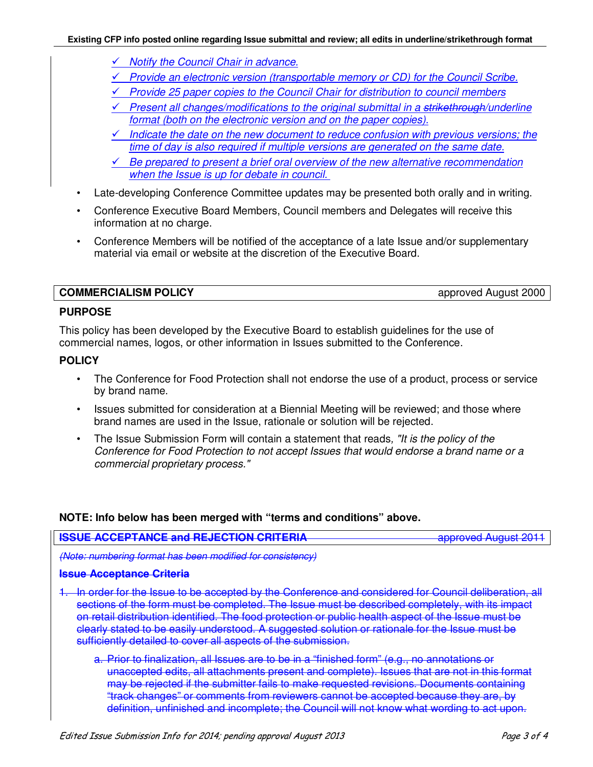- *Notify the Council Chair in advance.*
- *Provide an electronic version (transportable memory or CD) for the Council Scribe.*
- *Provide 25 paper copies to the Council Chair for distribution to council members*
- *Present all changes/modifications to the original submittal in a strikethrough/underline format (both on the electronic version and on the paper copies).*
- *Indicate the date on the new document to reduce confusion with previous versions; the time of day is also required if multiple versions are generated on the same date.*
- *Be prepared to present a brief oral overview of the new alternative recommendation when the Issue is up for debate in council.*
- Late-developing Conference Committee updates may be presented both orally and in writing.
- Conference Executive Board Members, Council members and Delegates will receive this information at no charge.
- Conference Members will be notified of the acceptance of a late Issue and/or supplementary material via email or website at the discretion of the Executive Board.

**COMMERCIALISM POLICY** approved August 2000

#### **PURPOSE**

This policy has been developed by the Executive Board to establish guidelines for the use of commercial names, logos, or other information in Issues submitted to the Conference.

#### **POLICY**

- The Conference for Food Protection shall not endorse the use of a product, process or service by brand name.
- Issues submitted for consideration at a Biennial Meeting will be reviewed; and those where brand names are used in the Issue, rationale or solution will be rejected.
- The Issue Submission Form will contain a statement that reads*, "It is the policy of the Conference for Food Protection to not accept Issues that would endorse a brand name or a commercial proprietary process."*

## **NOTE: Info below has been merged with "terms and conditions" above.**

# **ISSUE ACCEPTANCE and REJECTION CRITERIA All approved August 2011**

*(Note: numbering format has been modified for consistency)* 

#### **Issue Acceptance Criteria**

- 1. In order for the Issue to be accepted by the Conference and considered for Council deliberation, all sections of the form must be completed. The Issue must be described completely, with its impact on retail distribution identified. The food protection or public health aspect of the Issue must be clearly stated to be easily understood. A suggested solution or rationale for the Issue must be sufficiently detailed to cover all aspects of the submission.
	- a. Prior to finalization, all Issues are to be in a "finished form" (e.g., no annotations or unaccepted edits, all attachments present and complete). Issues that are not in this format may be rejected if the submitter fails to make requested revisions. Documents containing "track changes" or comments from reviewers cannot be accepted because they are, by definition, unfinished and incomplete; the Council will not know what wording to act upon.